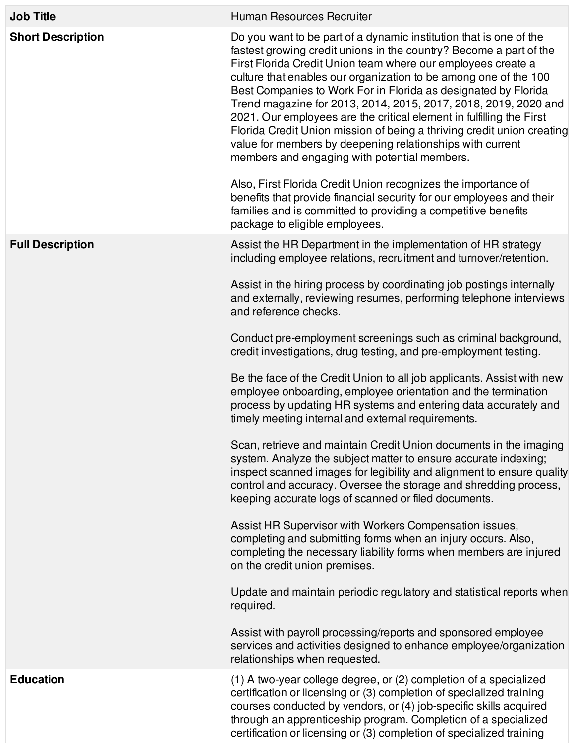| <b>Job Title</b>         | Human Resources Recruiter                                                                                                                                                                                                                                                                                                                                                                                                                                                                                                                                                                                                                                                                                                                                                                                                                                                                                                                                                                                                                                                                                                                                                                                                                                                                                                                                                                                                                                                                                                                                    |
|--------------------------|--------------------------------------------------------------------------------------------------------------------------------------------------------------------------------------------------------------------------------------------------------------------------------------------------------------------------------------------------------------------------------------------------------------------------------------------------------------------------------------------------------------------------------------------------------------------------------------------------------------------------------------------------------------------------------------------------------------------------------------------------------------------------------------------------------------------------------------------------------------------------------------------------------------------------------------------------------------------------------------------------------------------------------------------------------------------------------------------------------------------------------------------------------------------------------------------------------------------------------------------------------------------------------------------------------------------------------------------------------------------------------------------------------------------------------------------------------------------------------------------------------------------------------------------------------------|
| <b>Short Description</b> | Do you want to be part of a dynamic institution that is one of the<br>fastest growing credit unions in the country? Become a part of the<br>First Florida Credit Union team where our employees create a<br>culture that enables our organization to be among one of the 100<br>Best Companies to Work For in Florida as designated by Florida<br>Trend magazine for 2013, 2014, 2015, 2017, 2018, 2019, 2020 and<br>2021. Our employees are the critical element in fulfilling the First<br>Florida Credit Union mission of being a thriving credit union creating<br>value for members by deepening relationships with current<br>members and engaging with potential members.<br>Also, First Florida Credit Union recognizes the importance of<br>benefits that provide financial security for our employees and their<br>families and is committed to providing a competitive benefits<br>package to eligible employees.                                                                                                                                                                                                                                                                                                                                                                                                                                                                                                                                                                                                                                 |
| <b>Full Description</b>  | Assist the HR Department in the implementation of HR strategy<br>including employee relations, recruitment and turnover/retention.<br>Assist in the hiring process by coordinating job postings internally<br>and externally, reviewing resumes, performing telephone interviews<br>and reference checks.<br>Conduct pre-employment screenings such as criminal background,<br>credit investigations, drug testing, and pre-employment testing.<br>Be the face of the Credit Union to all job applicants. Assist with new<br>employee onboarding, employee orientation and the termination<br>process by updating HR systems and entering data accurately and<br>timely meeting internal and external requirements.<br>Scan, retrieve and maintain Credit Union documents in the imaging<br>system. Analyze the subject matter to ensure accurate indexing;<br>inspect scanned images for legibility and alignment to ensure quality<br>control and accuracy. Oversee the storage and shredding process,<br>keeping accurate logs of scanned or filed documents.<br>Assist HR Supervisor with Workers Compensation issues,<br>completing and submitting forms when an injury occurs. Also,<br>completing the necessary liability forms when members are injured<br>on the credit union premises.<br>Update and maintain periodic regulatory and statistical reports when<br>required.<br>Assist with payroll processing/reports and sponsored employee<br>services and activities designed to enhance employee/organization<br>relationships when requested. |
| <b>Education</b>         | (1) A two-year college degree, or (2) completion of a specialized<br>certification or licensing or (3) completion of specialized training<br>courses conducted by vendors, or (4) job-specific skills acquired<br>through an apprenticeship program. Completion of a specialized<br>certification or licensing or (3) completion of specialized training                                                                                                                                                                                                                                                                                                                                                                                                                                                                                                                                                                                                                                                                                                                                                                                                                                                                                                                                                                                                                                                                                                                                                                                                     |